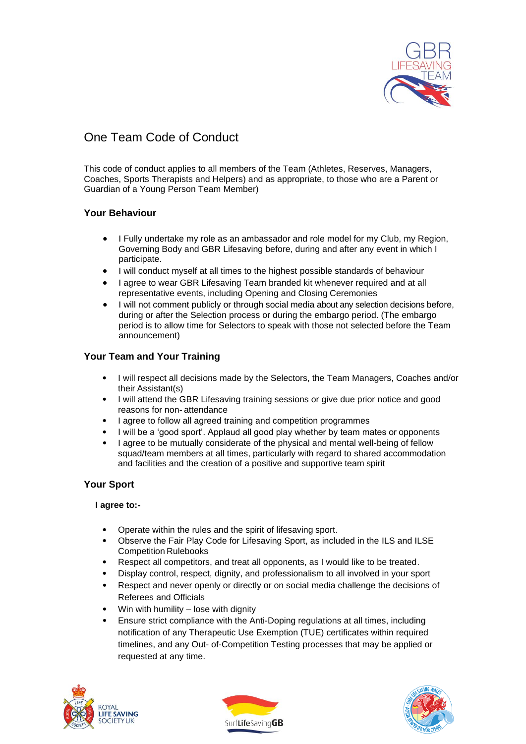

# One Team Code of Conduct

This code of conduct applies to all members of the Team (Athletes, Reserves, Managers, Coaches, Sports Therapists and Helpers) and as appropriate, to those who are a Parent or Guardian of a Young Person Team Member)

# **Your Behaviour**

- I Fully undertake my role as an ambassador and role model for my Club, my Region, Governing Body and GBR Lifesaving before, during and after any event in which I participate.
- I will conduct myself at all times to the highest possible standards of behaviour
- I agree to wear GBR Lifesaving Team branded kit whenever required and at all representative events, including Opening and Closing Ceremonies
- I will not comment publicly or through social media about any selection decisions before, during or after the Selection process or during the embargo period. (The embargo period is to allow time for Selectors to speak with those not selected before the Team announcement)

# **Your Team and Your Training**

- I will respect all decisions made by the Selectors, the Team Managers, Coaches and/or their Assistant(s)
- I will attend the GBR Lifesaving training sessions or give due prior notice and good reasons for non- attendance
- I agree to follow all agreed training and competition programmes
- I will be a 'good sport'. Applaud all good play whether by team mates or opponents
- I agree to be mutually considerate of the physical and mental well-being of fellow squad/team members at all times, particularly with regard to shared accommodation and facilities and the creation of a positive and supportive team spirit

## **Your Sport**

#### **I agree to:-**

- Operate within the rules and the spirit of lifesaving sport.
- Observe the Fair Play Code for Lifesaving Sport, as included in the ILS and ILSE Competition Rulebooks
- Respect all competitors, and treat all opponents, as I would like to be treated.
- Display control, respect, dignity, and professionalism to all involved in your sport
- Respect and never openly or directly or on social media challenge the decisions of Referees and Officials
- Win with humility lose with dignity
- Ensure strict compliance with the Anti-Doping regulations at all times, including notification of any Therapeutic Use Exemption (TUE) certificates within required timelines, and any Out- of-Competition Testing processes that may be applied or requested at any time.





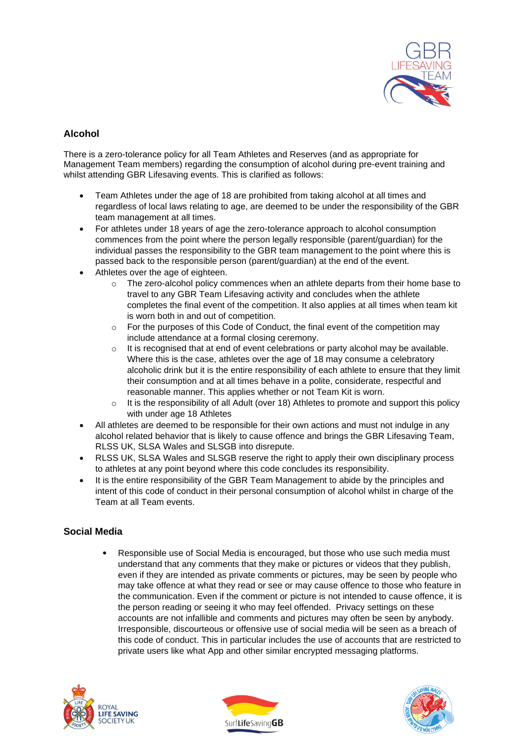

## **Alcohol**

There is a zero-tolerance policy for all Team Athletes and Reserves (and as appropriate for Management Team members) regarding the consumption of alcohol during pre-event training and whilst attending GBR Lifesaving events. This is clarified as follows:

- Team Athletes under the age of 18 are prohibited from taking alcohol at all times and regardless of local laws relating to age, are deemed to be under the responsibility of the GBR team management at all times.
- For athletes under 18 years of age the zero-tolerance approach to alcohol consumption commences from the point where the person legally responsible (parent/guardian) for the individual passes the responsibility to the GBR team management to the point where this is passed back to the responsible person (parent/guardian) at the end of the event.
- Athletes over the age of eighteen.
	- o The zero-alcohol policy commences when an athlete departs from their home base to travel to any GBR Team Lifesaving activity and concludes when the athlete completes the final event of the competition. It also applies at all times when team kit is worn both in and out of competition.
	- $\circ$  For the purposes of this Code of Conduct, the final event of the competition may include attendance at a formal closing ceremony.
	- $\circ$  It is recognised that at end of event celebrations or party alcohol may be available. Where this is the case, athletes over the age of 18 may consume a celebratory alcoholic drink but it is the entire responsibility of each athlete to ensure that they limit their consumption and at all times behave in a polite, considerate, respectful and reasonable manner. This applies whether or not Team Kit is worn.
	- $\circ$  It is the responsibility of all Adult (over 18) Athletes to promote and support this policy with under age 18 Athletes
- All athletes are deemed to be responsible for their own actions and must not indulge in any alcohol related behavior that is likely to cause offence and brings the GBR Lifesaving Team, RLSS UK, SLSA Wales and SLSGB into disrepute.
- RLSS UK, SLSA Wales and SLSGB reserve the right to apply their own disciplinary process to athletes at any point beyond where this code concludes its responsibility.
- It is the entire responsibility of the GBR Team Management to abide by the principles and intent of this code of conduct in their personal consumption of alcohol whilst in charge of the Team at all Team events.

## **Social Media**

• Responsible use of Social Media is encouraged, but those who use such media must understand that any comments that they make or pictures or videos that they publish, even if they are intended as private comments or pictures, may be seen by people who may take offence at what they read or see or may cause offence to those who feature in the communication. Even if the comment or picture is not intended to cause offence, it is the person reading or seeing it who may feel offended. Privacy settings on these accounts are not infallible and comments and pictures may often be seen by anybody. Irresponsible, discourteous or offensive use of social media will be seen as a breach of this code of conduct. This in particular includes the use of accounts that are restricted to private users like what App and other similar encrypted messaging platforms.